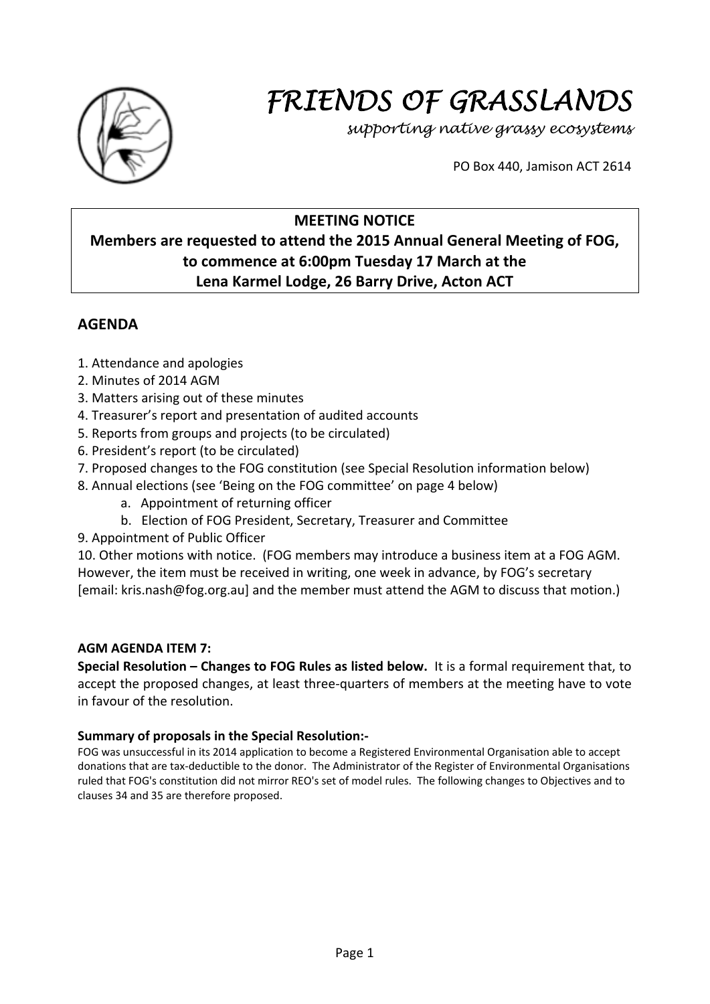

# *FRIENDS OF GRASSLANDS*

*supporting native grassy ecosystems* 

PO Box 440, Jamison ACT 2614

# **MEETING NOTICE**

# **Members are requested to attend the 2015 Annual General Meeting of FOG, to commence at 6:00pm Tuesday 17 March at the Lena Karmel Lodge, 26 Barry Drive, Acton ACT**

## **AGENDA**

- 1. Attendance and apologies
- 2. Minutes of 2014 AGM
- 3. Matters arising out of these minutes
- 4. Treasurer's report and presentation of audited accounts
- 5. Reports from groups and projects (to be circulated)
- 6. President's report (to be circulated)
- 7. Proposed changes to the FOG constitution (see Special Resolution information below)
- 8. Annual elections (see 'Being on the FOG committee' on page 4 below)
	- a. Appointment of returning officer
	- b. Election of FOG President, Secretary, Treasurer and Committee
- 9. Appointment of Public Officer

10. Other motions with notice. (FOG members may introduce a business item at a FOG AGM. However, the item must be received in writing, one week in advance, by FOG's secretary [email: kris.nash@fog.org.au] and the member must attend the AGM to discuss that motion.)

## **AGM AGENDA ITEM 7:**

**Special Resolution – Changes to FOG Rules as listed below.** It is a formal requirement that, to accept the proposed changes, at least three‐quarters of members at the meeting have to vote in favour of the resolution.

## **Summary of proposals in the Special Resolution:‐**

FOG was unsuccessful in its 2014 application to become a Registered Environmental Organisation able to accept donations that are tax‐deductible to the donor. The Administrator of the Register of Environmental Organisations ruled that FOG's constitution did not mirror REO's set of model rules. The following changes to Objectives and to clauses 34 and 35 are therefore proposed.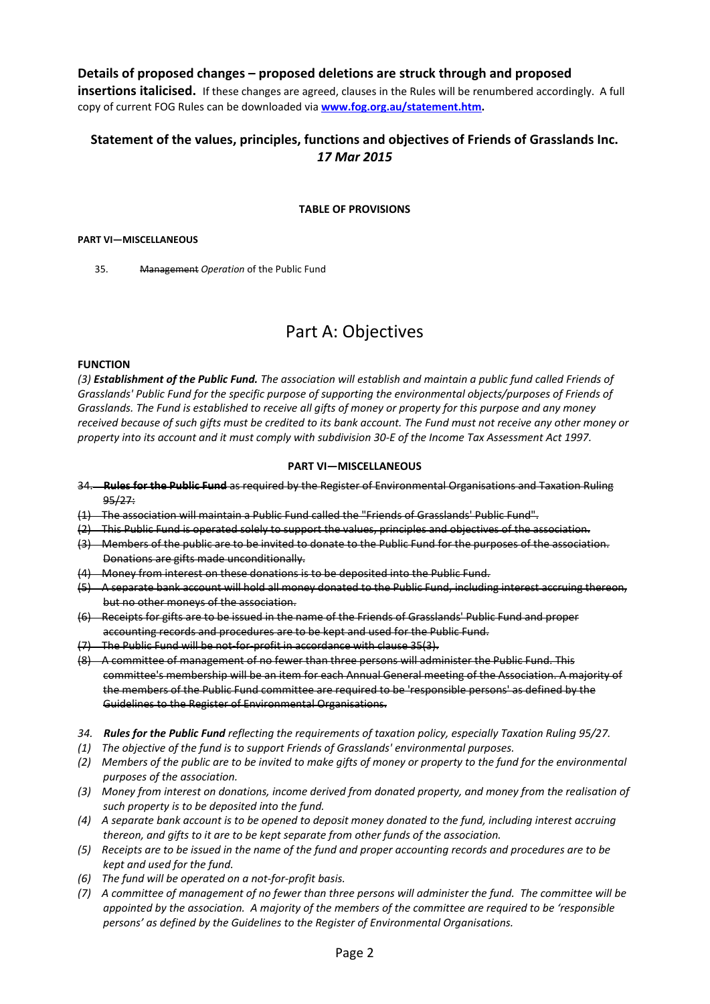## **Details of proposed changes – proposed deletions are struck through and proposed**

**insertions italicised.** If these changes are agreed, clauses in the Rules will be renumbered accordingly. A full copy of current FOG Rules can be downloaded via **www.fog.org.au/statement.htm.**

## **Statement of the values, principles, functions and objectives of Friends of Grasslands Inc.** *17 Mar 2015*

#### **TABLE OF PROVISIONS**

#### **PART VI—MISCELLANEOUS**

35. Management *Operation* of the Public Fund

# Part A: Objectives

#### **FUNCTION**

(3) Establishment of the Public Fund. The association will establish and maintain a public fund called Friends of *Grasslands' Public Fund for the specific purpose of supporting the environmental objects/purposes of Friends of* Grasslands. The Fund is established to receive all gifts of money or property for this purpose and any money received because of such gifts must be credited to its bank account. The Fund must not receive any other money or property into its account and it must comply with subdivision 30-E of the Income Tax Assessment Act 1997.

#### **PART VI—MISCELLANEOUS**

- 34. **Rules for the Public Fund** as required by the Register of Environmental Organisations and Taxation Ruling 95/27:
- (1) The association will maintain a Public Fund called the "Friends of Grasslands' Public Fund".
- (2) This Public Fund is operated solely to support the values, principles and objectives of the association.
- (3) Members of the public are to be invited to donate to the Public Fund for the purposes of the association. Donations are gifts made unconditionally.
- (4) Money from interest on these donations is to be deposited into the Public Fund.
- (5) A separate bank account will hold all money donated to the Public Fund, including interest accruing thereon, but no other moneys of the association.
- (6) Receipts for gifts are to be issued in the name of the Friends of Grasslands' Public Fund and proper accounting records and procedures are to be kept and used for the Public Fund.
- (7) The Public Fund will be not‐for‐profit in accordance with clause 35(3).
- (8) A committee of management of no fewer than three persons will administer the Public Fund. This committee's membership will be an item for each Annual General meeting of the Association. A majority of the members of the Public Fund committee are required to be 'responsible persons' as defined by the Guidelines to the Register of Environmental Organisations.
- 34. Rules for the Public Fund reflecting the requirements of taxation policy, especially Taxation Ruling 95/27.
- *(1) The objective of the fund is to support Friends of Grasslands' environmental purposes.*
- (2) Members of the public are to be invited to make gifts of money or property to the fund for the environmental *purposes of the association.*
- (3) Money from interest on donations, income derived from donated property, and money from the realisation of *such property is to be deposited into the fund.*
- (4) A separate bank account is to be opened to deposit money donated to the fund, including interest accruing *thereon, and gifts to it are to be kept separate from other funds of the association.*
- (5) Receipts are to be issued in the name of the fund and proper accounting records and procedures are to be *kept and used for the fund.*
- *(6) The fund will be operated on a not‐for‐profit basis.*
- (7) A committee of management of no fewer than three persons will administer the fund. The committee will be appointed by the association. A majority of the members of the committee are required to be 'responsible *persons' as defined by the Guidelines to the Register of Environmental Organisations.*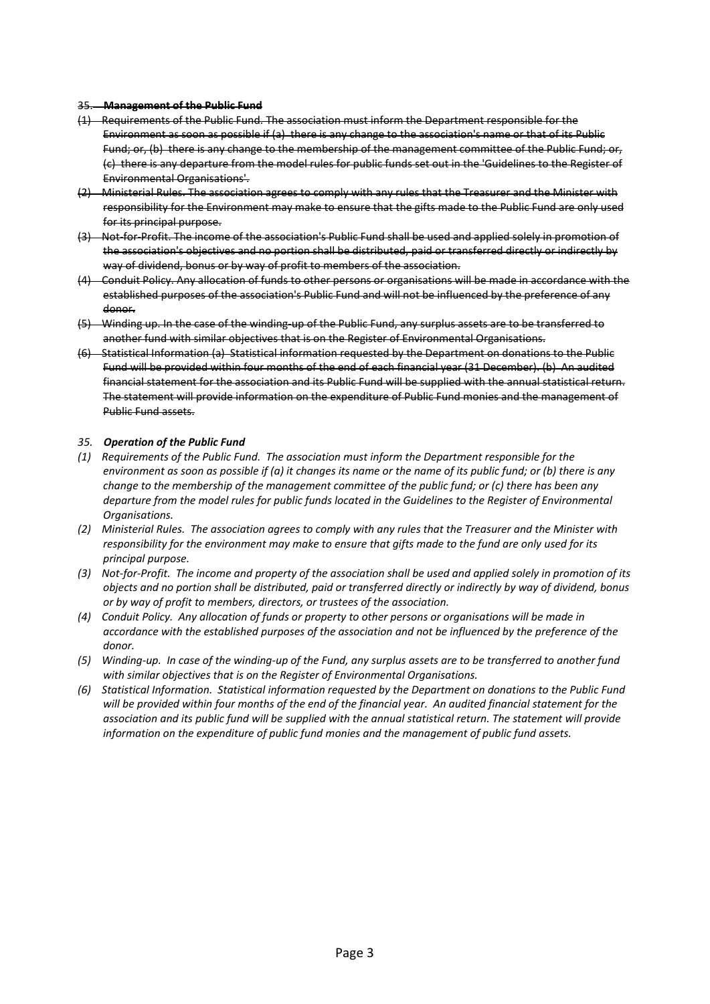#### 35. **Management of the Public Fund**

- (1) Requirements of the Public Fund. The association must inform the Department responsible for the Environment as soon as possible if (a) there is any change to the association's name or that of its Public Fund; or, (b) there is any change to the membership of the management committee of the Public Fund; or, (c) there is any departure from the model rules for public funds set out in the 'Guidelines to the Register of Environmental Organisations'.
- (2) Ministerial Rules. The association agrees to comply with any rules that the Treasurer and the Minister with responsibility for the Environment may make to ensure that the gifts made to the Public Fund are only used for its principal purpose.
- (3) Not‐for‐Profit. The income of the association's Public Fund shall be used and applied solely in promotion of the association's objectives and no portion shall be distributed, paid or transferred directly or indirectly by way of dividend, bonus or by way of profit to members of the association.
- (4) Conduit Policy. Any allocation of funds to other persons or organisations will be made in accordance with the established purposes of the association's Public Fund and will not be influenced by the preference of any donor.
- (5) Winding up. In the case of the winding‐up of the Public Fund, any surplus assets are to be transferred to another fund with similar objectives that is on the Register of Environmental Organisations.
- (6) Statistical Information (a) Statistical information requested by the Department on donations to the Public Fund will be provided within four months of the end of each financial year (31 December). (b) An audited financial statement for the association and its Public Fund will be supplied with the annual statistical return. The statement will provide information on the expenditure of Public Fund monies and the management of Public Fund assets.

#### *35. Operation of the Public Fund*

- *(1) Requirements of the Public Fund. The association must inform the Department responsible for the* environment as soon as possible if (a) it changes its name or the name of its public fund; or (b) there is any *change to the membership of the management committee of the public fund; or (c) there has been any* departure from the model rules for public funds located in the Guidelines to the Register of Environmental *Organisations.*
- (2) Ministerial Rules. The association agrees to comply with any rules that the Treasurer and the Minister with responsibility for the environment may make to ensure that gifts made to the fund are only used for its *principal purpose.*
- (3) Not-for-Profit. The income and property of the association shall be used and applied solely in promotion of its objects and no portion shall be distributed, paid or transferred directly or indirectly by way of dividend, bonus *or by way of profit to members, directors, or trustees of the association.*
- (4) Conduit Policy. Any allocation of funds or property to other persons or organisations will be made in accordance with the established purposes of the association and not be influenced by the preference of the *donor.*
- (5) Winding-up. In case of the winding-up of the Fund, any surplus assets are to be transferred to another fund *with similar objectives that is on the Register of Environmental Organisations.*
- (6) Statistical Information. Statistical information requested by the Department on donations to the Public Fund will be provided within four months of the end of the financial year. An audited financial statement for the association and its public fund will be supplied with the annual statistical return. The statement will provide *information on the expenditure of public fund monies and the management of public fund assets.*